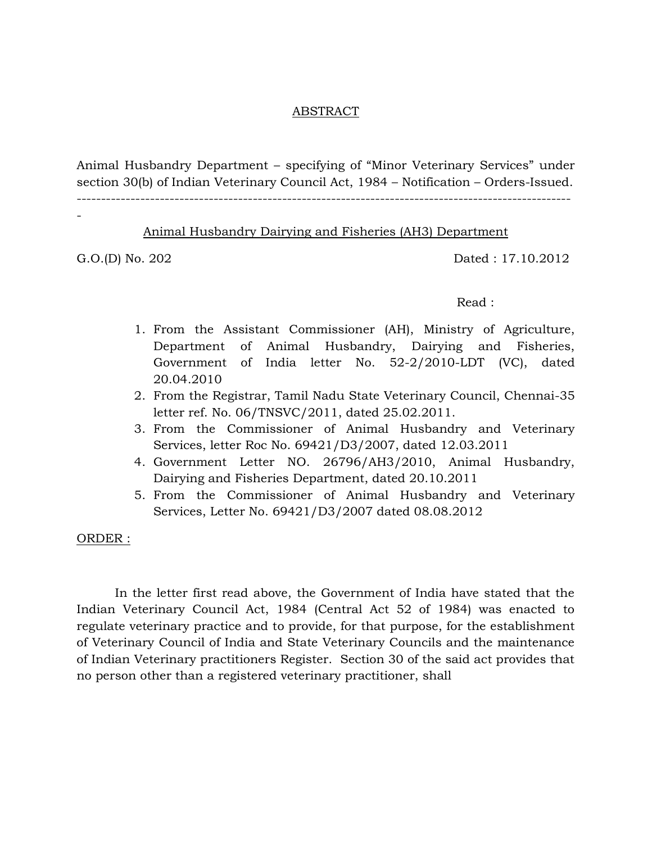#### ABSTRACT

Animal Husbandry Department – specifying of "Minor Veterinary Services" under section 30(b) of Indian Veterinary Council Act, 1984 – Notification – Orders-Issued.

-----------------------------------------------------------------------------------------------------

### Animal Husbandry Dairying and Fisheries (AH3) Department

-

G.O.(D) No. 202 Dated : 17.10.2012

#### Read :

- 1. From the Assistant Commissioner (AH), Ministry of Agriculture, Department of Animal Husbandry, Dairying and Fisheries, Government of India letter No. 52-2/2010-LDT (VC), dated 20.04.2010
- 2. From the Registrar, Tamil Nadu State Veterinary Council, Chennai-35 letter ref. No. 06/TNSVC/2011, dated 25.02.2011.
- 3. From the Commissioner of Animal Husbandry and Veterinary Services, letter Roc No. 69421/D3/2007, dated 12.03.2011
- 4. Government Letter NO. 26796/AH3/2010, Animal Husbandry, Dairying and Fisheries Department, dated 20.10.2011
- 5. From the Commissioner of Animal Husbandry and Veterinary Services, Letter No. 69421/D3/2007 dated 08.08.2012

ORDER :

In the letter first read above, the Government of India have stated that the Indian Veterinary Council Act, 1984 (Central Act 52 of 1984) was enacted to regulate veterinary practice and to provide, for that purpose, for the establishment of Veterinary Council of India and State Veterinary Councils and the maintenance of Indian Veterinary practitioners Register. Section 30 of the said act provides that no person other than a registered veterinary practitioner, shall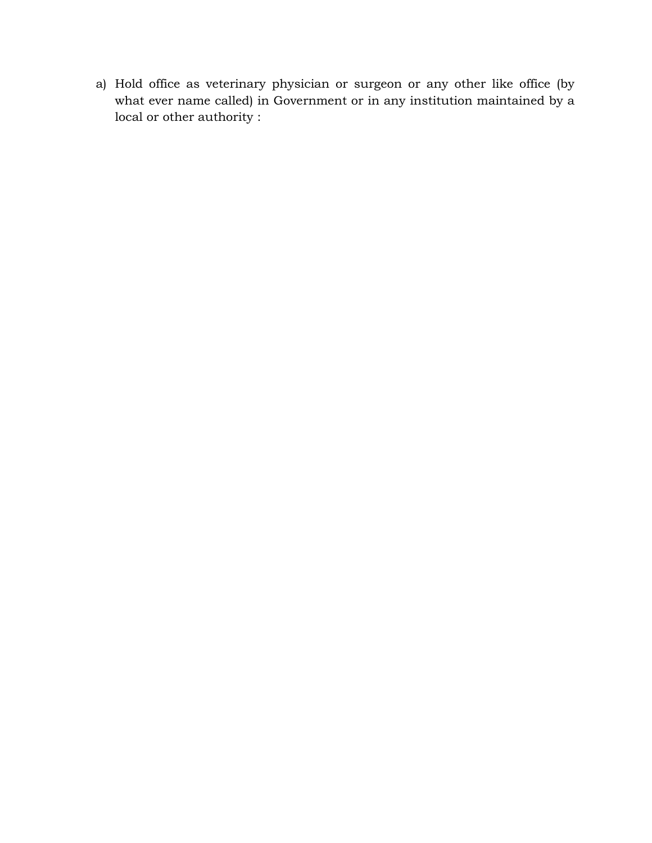a) Hold office as veterinary physician or surgeon or any other like office (by what ever name called) in Government or in any institution maintained by a local or other authority :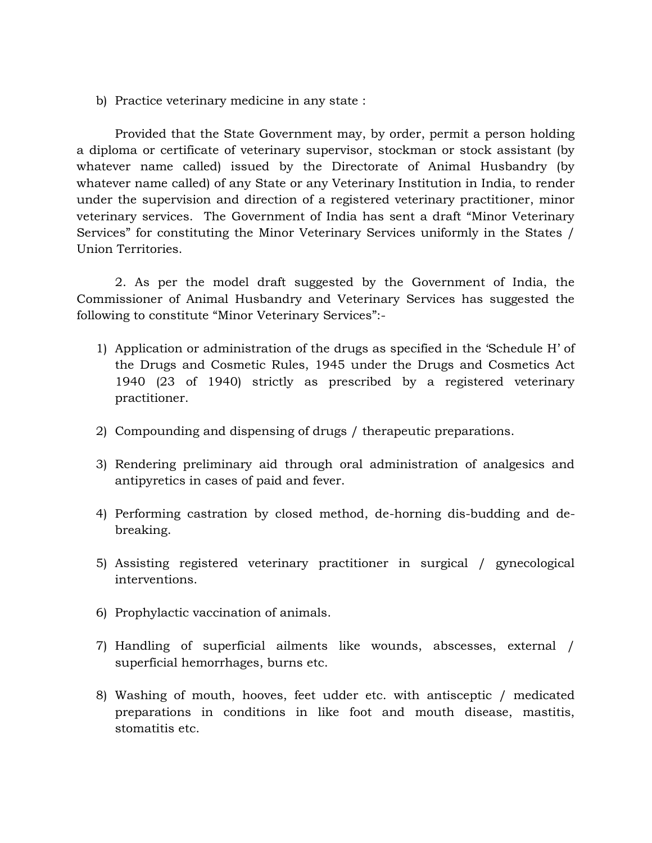b) Practice veterinary medicine in any state :

Provided that the State Government may, by order, permit a person holding a diploma or certificate of veterinary supervisor, stockman or stock assistant (by whatever name called) issued by the Directorate of Animal Husbandry (by whatever name called) of any State or any Veterinary Institution in India, to render under the supervision and direction of a registered veterinary practitioner, minor veterinary services. The Government of India has sent a draft "Minor Veterinary Services" for constituting the Minor Veterinary Services uniformly in the States / Union Territories.

2. As per the model draft suggested by the Government of India, the Commissioner of Animal Husbandry and Veterinary Services has suggested the following to constitute "Minor Veterinary Services":-

- 1) Application or administration of the drugs as specified in the 'Schedule H' of the Drugs and Cosmetic Rules, 1945 under the Drugs and Cosmetics Act 1940 (23 of 1940) strictly as prescribed by a registered veterinary practitioner.
- 2) Compounding and dispensing of drugs / therapeutic preparations.
- 3) Rendering preliminary aid through oral administration of analgesics and antipyretics in cases of paid and fever.
- 4) Performing castration by closed method, de-horning dis-budding and debreaking.
- 5) Assisting registered veterinary practitioner in surgical / gynecological interventions.
- 6) Prophylactic vaccination of animals.
- 7) Handling of superficial ailments like wounds, abscesses, external / superficial hemorrhages, burns etc.
- 8) Washing of mouth, hooves, feet udder etc. with antisceptic / medicated preparations in conditions in like foot and mouth disease, mastitis, stomatitis etc.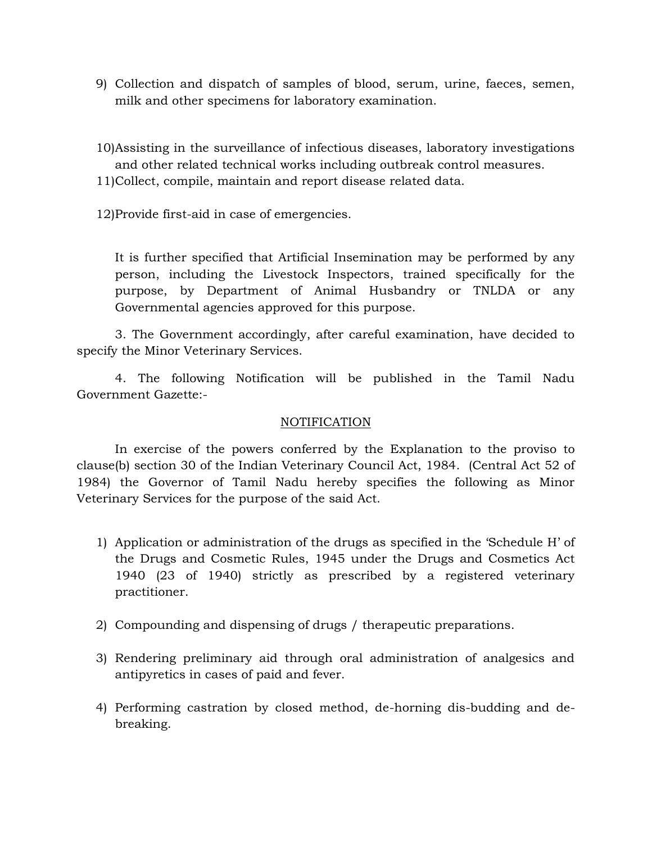9) Collection and dispatch of samples of blood, serum, urine, faeces, semen, milk and other specimens for laboratory examination.

10)Assisting in the surveillance of infectious diseases, laboratory investigations and other related technical works including outbreak control measures.

- 11)Collect, compile, maintain and report disease related data.
- 12)Provide first-aid in case of emergencies.

It is further specified that Artificial Insemination may be performed by any person, including the Livestock Inspectors, trained specifically for the purpose, by Department of Animal Husbandry or TNLDA or any Governmental agencies approved for this purpose.

3. The Government accordingly, after careful examination, have decided to specify the Minor Veterinary Services.

4. The following Notification will be published in the Tamil Nadu Government Gazette:-

## **NOTIFICATION**

In exercise of the powers conferred by the Explanation to the proviso to clause(b) section 30 of the Indian Veterinary Council Act, 1984. (Central Act 52 of 1984) the Governor of Tamil Nadu hereby specifies the following as Minor Veterinary Services for the purpose of the said Act.

- 1) Application or administration of the drugs as specified in the 'Schedule H' of the Drugs and Cosmetic Rules, 1945 under the Drugs and Cosmetics Act 1940 (23 of 1940) strictly as prescribed by a registered veterinary practitioner.
- 2) Compounding and dispensing of drugs / therapeutic preparations.
- 3) Rendering preliminary aid through oral administration of analgesics and antipyretics in cases of paid and fever.
- 4) Performing castration by closed method, de-horning dis-budding and debreaking.